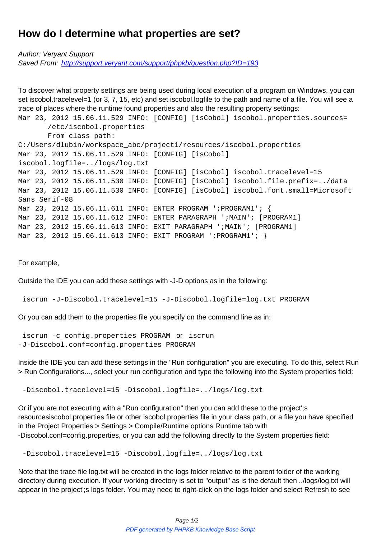## **How do I determine what properties are set?**

Author: Veryant Support Saved From: http://support.veryant.com/support/phpkb/question.php?ID=193

To discover what property settings are being used during local execution of a program on Windows, you can set iscobol.tr[acelevel=1 \(or 3, 7, 15, etc\) and set iscobol.logfile to the path and](http://support.veryant.com/support/phpkb/question.php?ID=193) name of a file. You will see a trace of places where the runtime found properties and also the resulting property settings:

```
Mar 23, 2012 15.06.11.529 INFO: [CONFIG] [isCobol] iscobol.properties.sources=
        /etc/iscobol.properties
        From class path:
C:/Users/dlubin/workspace_abc/project1/resources/iscobol.properties
Mar 23, 2012 15.06.11.529 INFO: [CONFIG] [isCobol]
iscobol.logfile=../logs/log.txt
Mar 23, 2012 15.06.11.529 INFO: [CONFIG] [isCobol] iscobol.tracelevel=15
Mar 23, 2012 15.06.11.530 INFO: [CONFIG] [isCobol] iscobol.file.prefix=../data
Mar 23, 2012 15.06.11.530 INFO: [CONFIG] [isCobol] iscobol.font.small=Microsoft
Sans Serif-08
Mar 23, 2012 15.06.11.611 INFO: ENTER PROGRAM ';PROGRAM1'; {
Mar 23, 2012 15.06.11.612 INFO: ENTER PARAGRAPH '; MAIN'; [PROGRAM1]
Mar 23, 2012 15.06.11.613 INFO: EXIT PARAGRAPH ';MAIN'; [PROGRAM1]
Mar 23, 2012 15.06.11.613 INFO: EXIT PROGRAM '; PROGRAM1'; }
```
For example,

Outside the IDE you can add these settings with -J-D options as in the following:

iscrun -J-Discobol.tracelevel=15 -J-Discobol.logfile=log.txt PROGRAM

Or you can add them to the properties file you specify on the command line as in:

 iscrun -c config.properties PROGRAM or iscrun -J-Discobol.conf=config.properties PROGRAM

Inside the IDE you can add these settings in the "Run configuration" you are executing. To do this, select Run > Run Configurations..., select your run configuration and type the following into the System properties field:

-Discobol.tracelevel=15 -Discobol.logfile=../logs/log.txt

Or if you are not executing with a "Run configuration" then you can add these to the project';s resourcesiscobol.properties file or other iscobol.properties file in your class path, or a file you have specified in the Project Properties > Settings > Compile/Runtime options Runtime tab with -Discobol.conf=config.properties, or you can add the following directly to the System properties field:

-Discobol.tracelevel=15 -Discobol.logfile=../logs/log.txt

Note that the trace file log.txt will be created in the logs folder relative to the parent folder of the working directory during execution. If your working directory is set to "output" as is the default then ../logs/log.txt will appear in the project';s logs folder. You may need to right-click on the logs folder and select Refresh to see